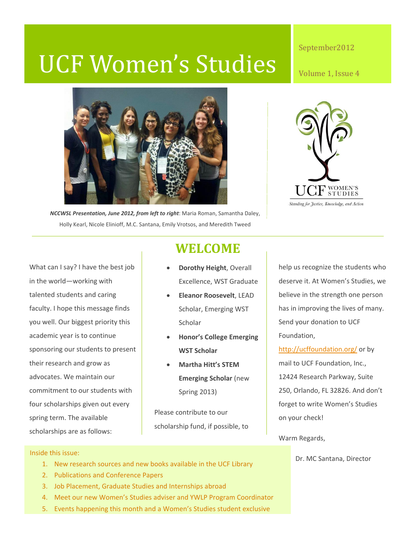# UCF Women's Studies

### September2012

Volume 1, Issue 4





*NCCWSL Presentation, June 2012, from left to right*: Maria Roman, Samantha Daley, Holly Kearl, Nicole Elinioff, M.C. Santana, Emily Vrotsos, and Meredith Tweed

What can I say? I have the best job in the world—working with talented students and caring faculty. I hope this message finds you well. Our biggest priority this academic year is to continue sponsoring our students to present their research and grow as advocates. We maintain our commitment to our students with four scholarships given out every spring term. The available scholarships are as follows:

# **WELCOME**

- **Dorothy Height**, Overall Excellence, WST Graduate
- **Eleanor Roosevelt**, LEAD Scholar, Emerging WST Scholar
- **Honor's College Emerging WST Scholar**
- **Martha Hitt's STEM Emerging Scholar** (new Spring 2013)

Please contribute to our scholarship fund, if possible, to help us recognize the students who deserve it. At Women's Studies, we believe in the strength one person has in improving the lives of many. Send your donation to UCF Foundation,

<http://ucffoundation.org/> or by mail to UCF Foundation, Inc., 12424 Research Parkway, Suite 250, Orlando, FL 32826. And don't forget to write Women's Studies on your check!

Warm Regards,

Dr. MC Santana, Director

### Inside this issue:

- 1. New research sources and new books available in the UCF Library
- 2. Publications and Conference Papers
- 3. Job Placement, Graduate Studies and Internships abroad
- 4. Meet our new Women's Studies adviser and YWLP Program Coordinator
- 5. Events happening this month and a Women's Studies student exclusive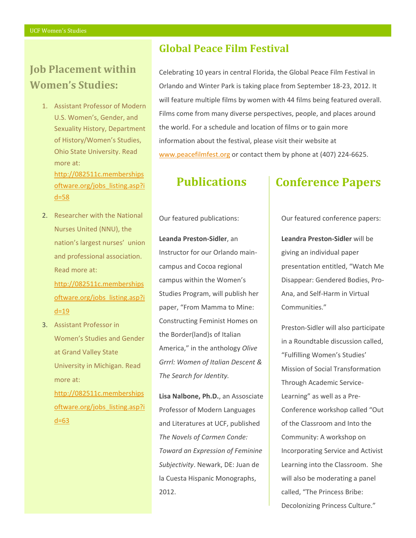# **Job Placement within Women's Studies:**

- 1. Assistant Professor of Modern U.S. Women's, Gender, and Sexuality History, Department of History/Women's Studies, Ohio State University. Read more at: [http://082511c.memberships](http://082511c.membershipsoftware.org/jobs_listing.asp?id=58) [oftware.org/jobs\\_listing.asp?i](http://082511c.membershipsoftware.org/jobs_listing.asp?id=58) [d=58](http://082511c.membershipsoftware.org/jobs_listing.asp?id=58)
- 2. Researcher with the National Nurses United (NNU), the nation's largest nurses' union and professional association. Read more at: [http://082511c.memberships](http://082511c.membershipsoftware.org/jobs_listing.asp?id=19) [oftware.org/jobs\\_listing.asp?i](http://082511c.membershipsoftware.org/jobs_listing.asp?id=19)  $d=19$
- 3. Assistant Professor in Women's Studies and Gender at Grand Valley State University in Michigan. Read more at:

[http://082511c.memberships](http://082511c.membershipsoftware.org/jobs_listing.asp?id=63) [oftware.org/jobs\\_listing.asp?i](http://082511c.membershipsoftware.org/jobs_listing.asp?id=63) [d=63](http://082511c.membershipsoftware.org/jobs_listing.asp?id=63)

## **Global Peace Film Festival**

Celebrating 10 years in central Florida, the Global Peace Film Festival in Orlando and Winter Park is taking place from September 18-23, 2012. It will feature multiple films by women with 44 films being featured overall. Films come from many diverse perspectives, people, and places around the world. For a schedule and location of films or to gain more information about the festival, please visit their website at [www.peacefilmfest.org](http://www.peacefilmfest.org/) or contact them by phone at (407) 224-6625.

### Our featured publications:

**Leanda Preston-Sidler**, an Instructor for our Orlando maincampus and Cocoa regional campus within the Women's Studies Program, will publish her paper, "From Mamma to Mine: Constructing Feminist Homes on the Border(land)s of Italian America," in the anthology *Olive Grrrl: Women of Italian Descent & The Search for Identity.*

**Lisa Nalbone, Ph.D.**, an Assosciate Professor of Modern Languages and Literatures at UCF, published *The Novels of Carmen Conde: Toward an Expression of Feminine Subjectivity*. Newark, DE: Juan de la Cuesta Hispanic Monographs, 2012.

# **Publications | Conference Papers**

Our featured conference papers:

**Leandra Preston-Sidler** will be giving an individual paper presentation entitled, "Watch Me Disappear: Gendered Bodies, Pro-Ana, and Self-Harm in Virtual Communities."

Preston-Sidler will also participate in a Roundtable discussion called, "Fulfilling Women's Studies' Mission of Social Transformation Through Academic Service-Learning" as well as a Pre-Conference workshop called "Out of the Classroom and Into the Community: A workshop on Incorporating Service and Activist Learning into the Classroom. She will also be moderating a panel called, "The Princess Bribe: Decolonizing Princess Culture."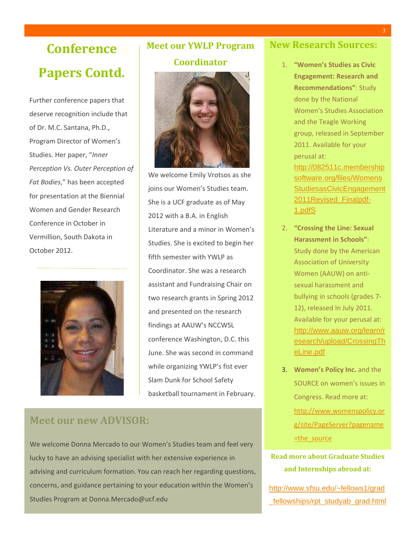# **Conference Papers Contd.**

Further conference papers that deserve recognition include that of Dr. M.C. Santana, Ph.D., Program Director of Women's Studies. Her paper, "*Inner Perception Vs. Outer Perception of Fat Bodies*," has been accepted for presentation at the Biennial Women and Gender Research Conference in October in Vermillion, South Dakota in October 2012.



# **Meet our YWLP Program**

### **Coordinator**



We welcome Emily Vrotsos as she joins our Women's Studies team. She is a UCF graduate as of May 2012 with a B.A. in English Literature and a minor in Women's Studies. She is excited to begin her fifth semester with YWLP as Coordinator. She was a research assistant and Fundraising Chair on two research grants in Spring 2012 and presented on the research findings at AAUW's NCCWSL conference Washington, D.C. this June. She was second in command while organizing YWLP's fist ever Slam Dunk for School Safety basketball tournament in February.

### **Meet our new ADVISOR:**

We welcome Donna Mercado to our Women's Studies team and feel very lucky to have an advising specialist with her extensive experience in advising and curriculum formation. You can reach her regarding questions, concerns, and guidance pertaining to your education within the Women's Studies Program at Donna.Mercado@ucf.edu

### **New Research Sources:**

1. **"Women's Studies as Civic Engagement: Research and Recommendations"**: Study done by the National Women's Studies Association and the Teagle Working group, released in September 2011. Available for your perusal at: [http://082511c.membership](http://082511c.membershipsoftware.org/files/WomensStudiesasCivicEngagement2011Revised_Finalpdf-1.pdfS)

[software.org/files/Womens](http://082511c.membershipsoftware.org/files/WomensStudiesasCivicEngagement2011Revised_Finalpdf-1.pdfS) **[StudiesasCivicEngagement](http://082511c.membershipsoftware.org/files/WomensStudiesasCivicEngagement2011Revised_Finalpdf-1.pdfS)** [2011Revised\\_Finalpdf-](http://082511c.membershipsoftware.org/files/WomensStudiesasCivicEngagement2011Revised_Finalpdf-1.pdfS)[1.pdfS](http://082511c.membershipsoftware.org/files/WomensStudiesasCivicEngagement2011Revised_Finalpdf-1.pdfS)

- 2. **"Crossing the Line: Sexual Harassment in Schools"**: Study done by the American Association of University Women (AAUW) on antisexual harassment and bullying in schools (grades 7- 12), released In July 2011. Available for your perusal at: [http://www.aauw.org/learn/r](http://www.aauw.org/learn/research/upload/CrossingTheLine.pdf) [esearch/upload/CrossingTh](http://www.aauw.org/learn/research/upload/CrossingTheLine.pdf) [eLine.pdf](http://www.aauw.org/learn/research/upload/CrossingTheLine.pdf)
- 3. **Women's Policy Inc.** and the SOURCE on women's issues in Congress. Read more at: [http://www.womenspolicy.or](http://www.womenspolicy.org/site/PageServer?pagename=the_source) [g/site/PageServer?pagename](http://www.womenspolicy.org/site/PageServer?pagename=the_source) [=the\\_source](http://www.womenspolicy.org/site/PageServer?pagename=the_source)

### **Read more about Graduate Studies and Internships abroad at:**

[http://www.sfsu.edu/~fellows1/grad](http://www.sfsu.edu/~fellows1/grad_fellowships/rpt_studyab_grad.html) fellowships/rpt\_studyab\_grad.html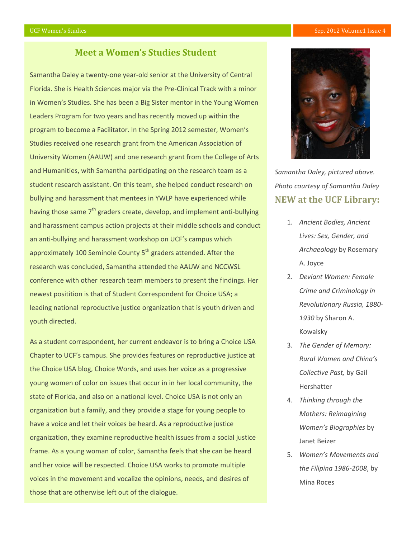#### UCF Women's Studies Sep. 2012 Vol.ume1 Issue 4

### **Meet a Women's Studies Student**

Samantha Daley a twenty-one year-old senior at the University of Central Florida. She is Health Sciences major via the Pre-Clinical Track with a minor in Women's Studies. She has been a Big Sister mentor in the Young Women Leaders Program for two years and has recently moved up within the program to become a Facilitator. In the Spring 2012 semester, Women's Studies received one research grant from the American Association of University Women (AAUW) and one research grant from the College of Arts and Humanities, with Samantha participating on the research team as a student research assistant. On this team, she helped conduct research on bullying and harassment that mentees in YWLP have experienced while having those same 7<sup>th</sup> graders create, develop, and implement anti-bullying and harassment campus action projects at their middle schools and conduct an anti-bullying and harassment workshop on UCF's campus which approximately 100 Seminole County 5<sup>th</sup> graders attended. After the research was concluded, Samantha attended the AAUW and NCCWSL conference with other research team members to present the findings. Her newest positition is that of Student Correspondent for Choice USA; a leading national reproductive justice organization that is youth driven and youth directed.

As a student correspondent, her current endeavor is to bring a Choice USA Chapter to UCF's campus. She provides features on reproductive justice at the Choice USA blog, Choice Words, and uses her voice as a progressive young women of color on issues that occur in in her local community, the state of Florida, and also on a national level. Choice USA is not only an organization but a family, and they provide a stage for young people to have a voice and let their voices be heard. As a reproductive justice organization, they examine reproductive health issues from a social justice frame. As a young woman of color, Samantha feels that she can be heard and her voice will be respected. Choice USA works to promote multiple voices in the movement and vocalize the opinions, needs, and desires of those that are otherwise left out of the dialogue.



**NEW at the UCF Library:** *Samantha Daley, pictured above. Photo courtesy of Samantha Daley*

- 1. *Ancient Bodies, Ancient Lives: Sex, Gender, and Archaeology* by Rosemary A. Joyce
- 2. *Deviant Women: Female Crime and Criminology in Revolutionary Russia, 1880- 1930* by Sharon A. Kowalsky
- 3. *The Gender of Memory: Rural Women and China's Collective Past,* by Gail Hershatter
- 4. *Thinking through the Mothers: Reimagining Women's Biographies* by Janet Beizer
- 5. *Women's Movements and the Filipina 1986-2008*, by Mina Roces